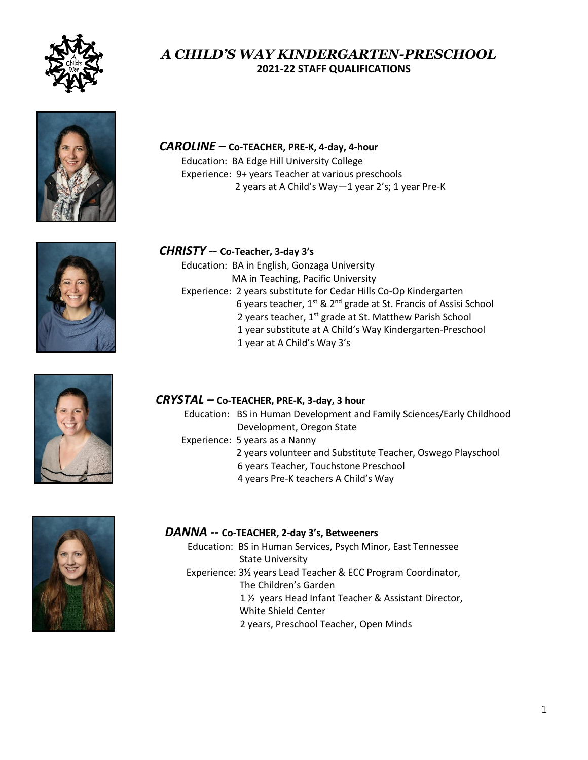

## *A CHILD'S WAY KINDERGARTEN-PRESCHOOL*  **2021-22 STAFF QUALIFICATIONS**



#### *CAROLINE –* **Co-TEACHER, PRE-K, 4-day, 4-hour**

Education: BA Edge Hill University College Experience: 9+ years Teacher at various preschools 2 years at A Child's Way—1 year 2's; 1 year Pre-K



# *CHRISTY --* **Co-Teacher, 3-day 3's**

Education: BA in English, Gonzaga University MA in Teaching, Pacific University Experience: 2 years substitute for Cedar Hills Co-Op Kindergarten 6 years teacher, 1st & 2nd grade at St. Francis of Assisi School 2 years teacher, 1<sup>st</sup> grade at St. Matthew Parish School 1 year substitute at A Child's Way Kindergarten-Preschool 1 year at A Child's Way 3's



#### *CRYSTAL –* **Co-TEACHER, PRE-K, 3-day, 3 hour**

Education: BS in Human Development and Family Sciences/Early Childhood Development, Oregon State

- **Experience: 5 years as a Nanny** 
	- 2 years volunteer and Substitute Teacher, Oswego Playschool
	- 6 years Teacher, Touchstone Preschool
	- 4 years Pre-K teachers A Child's Way



#### *DANNA --* **Co-TEACHER, 2-day 3's, Betweeners**

**Education: BS in Human Services, Psych Minor, East Tennessee**  State University Experience: 3½ years Lead Teacher & ECC Program Coordinator, The Children's Garden 1 ½ years Head Infant Teacher & Assistant Director, White Shield Center 2 years, Preschool Teacher, Open Minds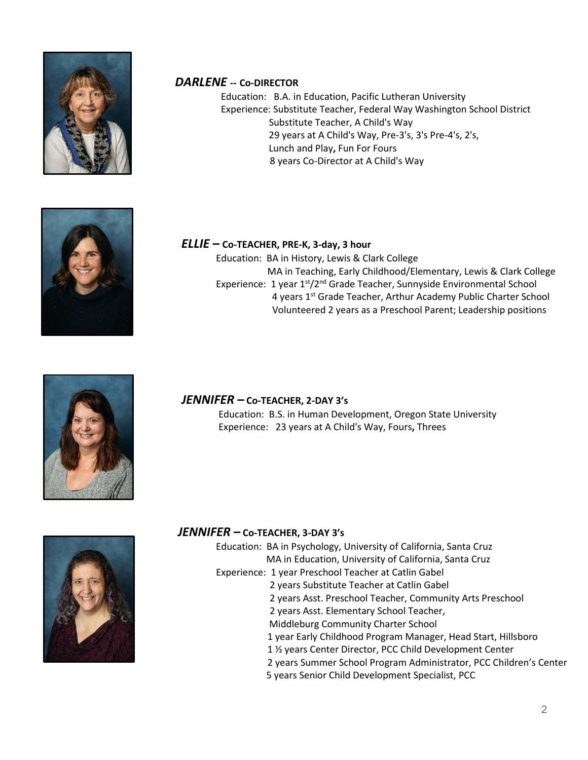

## *DARLENE* **-- Co-DIRECTOR**

 Education: B.A. in Education, Pacific Lutheran University Experience: Substitute Teacher, Federal Way Washington School District Substitute Teacher, A Child's Way 29 years at A Child's Way, Pre-3's, 3's Pre-4's, 2's, Lunch and Play**,** Fun For Fours 8 years Co-Director at A Child's Way



#### *ELLIE –* **Co-TEACHER, PRE-K, 3-day, 3 hour**

Education: BA in History, Lewis & Clark College MA in Teaching, Early Childhood/Elementary, Lewis & Clark College Experience: 1 year 1<sup>st</sup>/2<sup>nd</sup> Grade Teacher, Sunnyside Environmental School 4 years 1st Grade Teacher, Arthur Academy Public Charter School Volunteered 2 years as a Preschool Parent; Leadership positions



#### *JENNIFER* **– Co-TEACHER, 2-DAY 3's**

Education: B.S. in Human Development, Oregon State University Experience: 23 years at A Child's Way, Fours**,** Threes



#### *JENNIFER* **– Co-TEACHER, 3-DAY 3's**

Education: BA in Psychology, University of California, Santa Cruz MA in Education, University of California, Santa Cruz

- Experience: 1 year Preschool Teacher at Catlin Gabel
	- 2 years Substitute Teacher at Catlin Gabel
		- 2 years Asst. Preschool Teacher, Community Arts Preschool
		- 2 years Asst. Elementary School Teacher,
		- Middleburg Community Charter School
		- 1 year Early Childhood Program Manager, Head Start, Hillsboro
		- 1 ½ years Center Director, PCC Child Development Center
		- 2 years Summer School Program Administrator, PCC Children's Center
		- 5 years Senior Child Development Specialist, PCC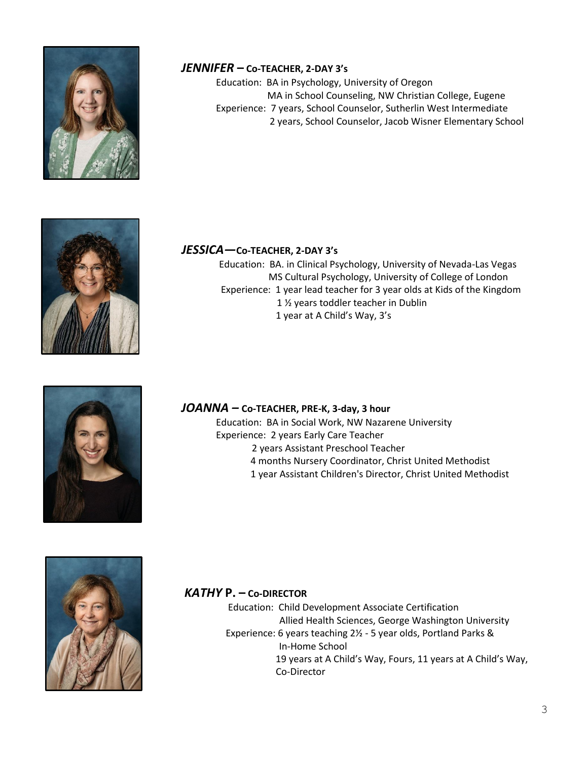

## *JENNIFER* **– Co-TEACHER, 2-DAY 3's**

Education: BA in Psychology, University of Oregon MA in School Counseling, NW Christian College, Eugene Experience: 7 years, School Counselor, Sutherlin West Intermediate 2 years, School Counselor, Jacob Wisner Elementary School



## *JESSICA—***Co-TEACHER, 2-DAY 3's**

Education: BA. in Clinical Psychology, University of Nevada-Las Vegas MS Cultural Psychology, University of College of London Experience: 1 year lead teacher for 3 year olds at Kids of the Kingdom 1 ½ years toddler teacher in Dublin 1 year at A Child's Way, 3's



#### *JOANNA –* **Co-TEACHER, PRE-K, 3-day, 3 hour**

Education: BA in Social Work, NW Nazarene University Experience: 2 years Early Care Teacher 2 years Assistant Preschool Teacher 4 months Nursery Coordinator, Christ United Methodist 1 year Assistant Children's Director, Christ United Methodist



## *KATHY* **P. – Co-DIRECTOR**

 Education: Child Development Associate Certification Allied Health Sciences, George Washington University Experience: 6 years teaching 2½ - 5 year olds, Portland Parks & In-Home School 19 years at A Child's Way, Fours, 11 years at A Child's Way, Co-Director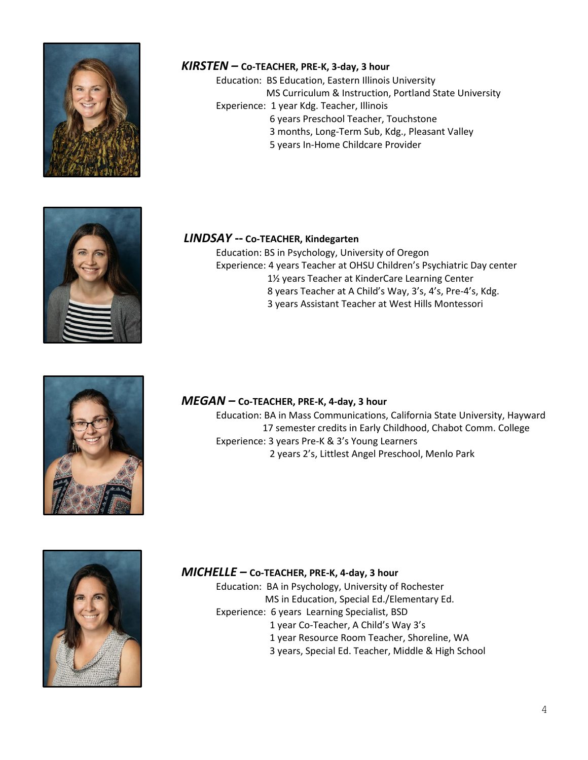

#### *KIRSTEN –* **Co-TEACHER, PRE-K, 3-day, 3 hour**

Education: BS Education, Eastern Illinois University MS Curriculum & Instruction, Portland State University Experience: 1 year Kdg. Teacher, Illinois 6 years Preschool Teacher, Touchstone 3 months, Long-Term Sub, Kdg., Pleasant Valley 5 years In-Home Childcare Provider



#### *LINDSAY* **-- Co-TEACHER, Kindegarten**

Education: BS in Psychology, University of Oregon Experience: 4 years Teacher at OHSU Children's Psychiatric Day center 1½ years Teacher at KinderCare Learning Center 8 years Teacher at A Child's Way, 3's, 4's, Pre-4's, Kdg. 3 years Assistant Teacher at West Hills Montessori



#### *MEGAN –* **Co-TEACHER, PRE-K, 4-day, 3 hour**

Education: BA in Mass Communications, California State University, Hayward 17 semester credits in Early Childhood, Chabot Comm. College Experience: 3 years Pre-K & 3's Young Learners 2 years 2's, Littlest Angel Preschool, Menlo Park



#### *MICHELLE –* **Co-TEACHER, PRE-K, 4-day, 3 hour**

Education: BA in Psychology, University of Rochester MS in Education, Special Ed./Elementary Ed. Experience: 6 years Learning Specialist, BSD 1 year Co-Teacher, A Child's Way 3's 1 year Resource Room Teacher, Shoreline, WA 3 years, Special Ed. Teacher, Middle & High School